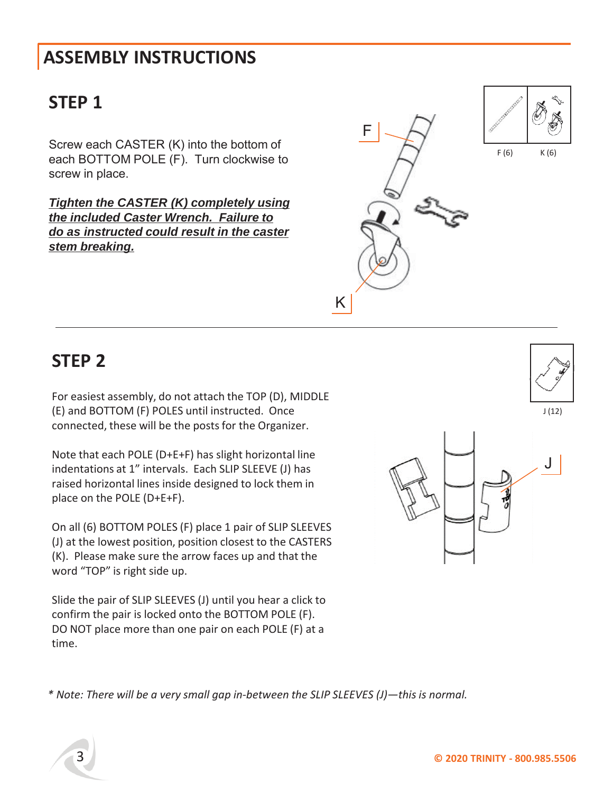# **STEP 1**

Screw each CASTER (K) into the bottom of each BOTTOM POLE (F). Turn clockwise to screw in place.

*Tighten the CASTER (K) completely using the included Caster Wrench. Failure to do as instructed could result in the caster stem breaking.*



### **STEP 2**

For easiest assembly, do not attach the TOP (D), MIDDLE (E) and BOTTOM (F) POLES until instructed. Once connected, these will be the posts for the Organizer.

Note that each POLE (D+E+F) has slight horizontal line indentations at 1" intervals. Each SLIP SLEEVE (J) has raised horizontal lines inside designed to lock them in place on the POLE (D+E+F).

On all (6) BOTTOM POLES (F) place 1 pair of SLIP SLEEVES (J) at the lowest position, position closest to the CASTERS (K). Please make sure the arrow faces up and that the word "TOP" is right side up.

Slide the pair of SLIP SLEEVES (J) until you hear a click to confirm the pair is locked onto the BOTTOM POLE (F). DO NOT place more than one pair on each POLE (F) at a time.

*\* Note: There will be a very small gap in-between the SLIP SLEEVES (J)—this is normal.*



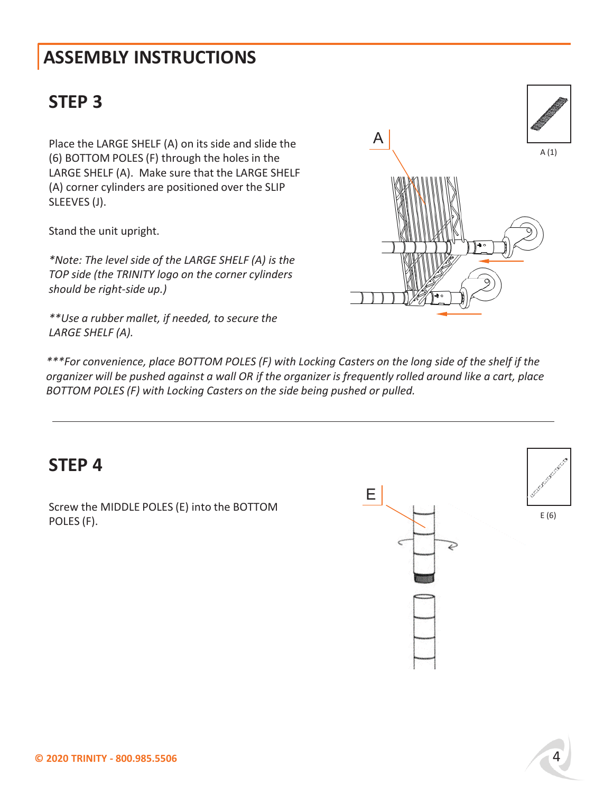# **STEP 3**

Place the LARGE SHELF (A) on its side and slide the (6) BOTTOM POLES (F) through the holes in the LARGE SHELF (A). Make sure that the LARGE SHELF (A) corner cylinders are positioned over the SLIP SLEEVES (J).

Stand the unit upright.

*\*Note: The level side of the LARGE SHELF (A) is the TOP side (the TRINITY logo on the corner cylinders should be right-side up.)*

*\*\*Use a rubber mallet, if needed, to secure the LARGE SHELF (A).*

A (1) A

*\*\*\*For convenience, place BOTTOM POLES (F) with Locking Casters on the long side of the shelf if the organizer will be pushed against a wall OR if the organizer is frequently rolled around like a cart, place BOTTOM POLES (F) with Locking Casters on the side being pushed or pulled.*

#### **STEP 4**

Screw the MIDDLE POLES (E) into the BOTTOM POLES (F).

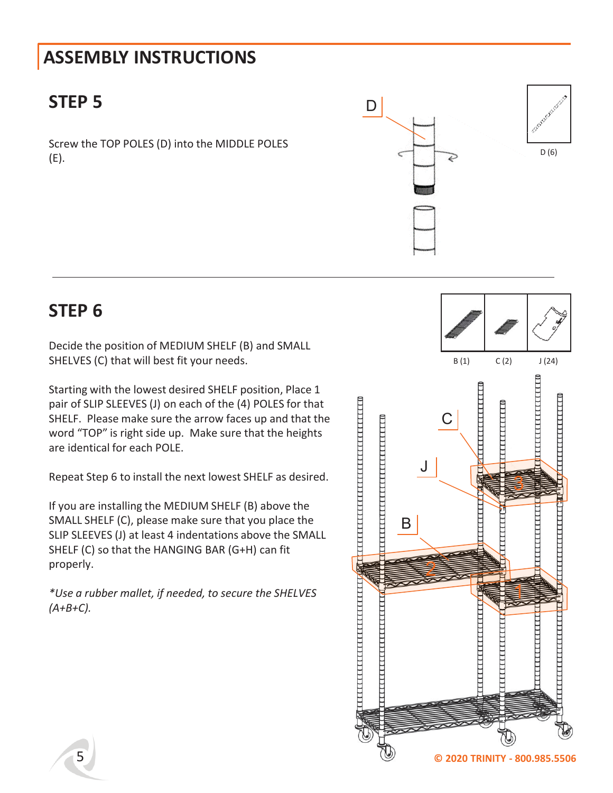### **STEP 5**

Screw the TOP POLES (D) into the MIDDLE POLES (E).



#### **STEP 6**

Decide the position of MEDIUM SHELF (B) and SMALL SHELVES (C) that will best fit your needs.

Starting with the lowest desired SHELF position, Place 1 pair of SLIP SLEEVES (J) on each of the (4) POLES for that SHELF. Please make sure the arrow faces up and that the word "TOP" is right side up. Make sure that the heights are identical for each POLE.

Repeat Step 6 to install the next lowest SHELF as desired.

If you are installing the MEDIUM SHELF (B) above the SMALL SHELF (C), please make sure that you place the SLIP SLEEVES (J) at least 4 indentations above the SMALL SHELF (C) so that the HANGING BAR (G+H) can fit properly.

*\*Use a rubber mallet, if needed, to secure the SHELVES (A+B+C).*

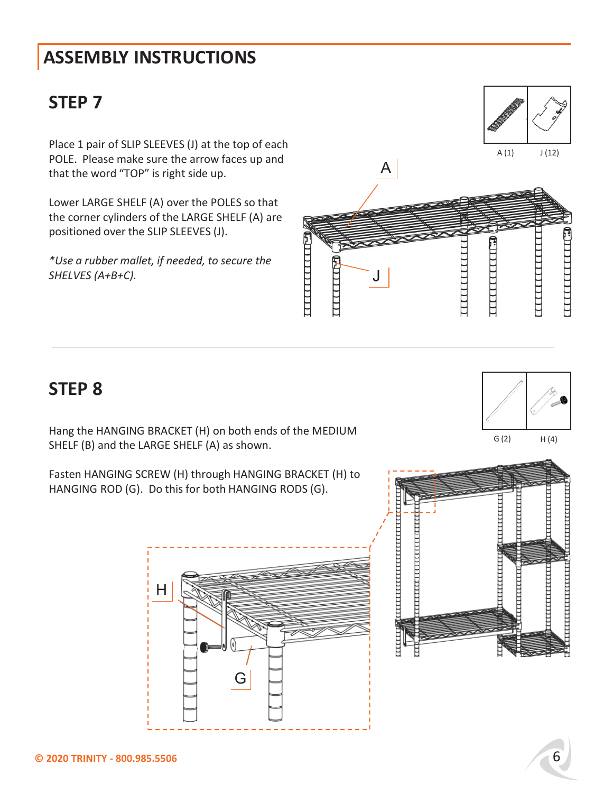### **STEP 7**

Place 1 pair of SLIP SLEEVES (J) at the top of each POLE. Please make sure the arrow faces up and that the word "TOP" is right side up.

Lower LARGE SHELF (A) over the POLES so that the corner cylinders of the LARGE SHELF (A) are positioned over the SLIP SLEEVES (J).

*\*Use a rubber mallet, if needed, to secure the SHELVES (A+B+C).*



#### **STEP 8**

Hang the HANGING BRACKET (H) on both ends of the MEDIUM SHELF (B) and the LARGE SHELF (A) as shown.

Fasten HANGING SCREW (H) through HANGING BRACKET (H) to HANGING ROD (G). Do this for both HANGING RODS (G).